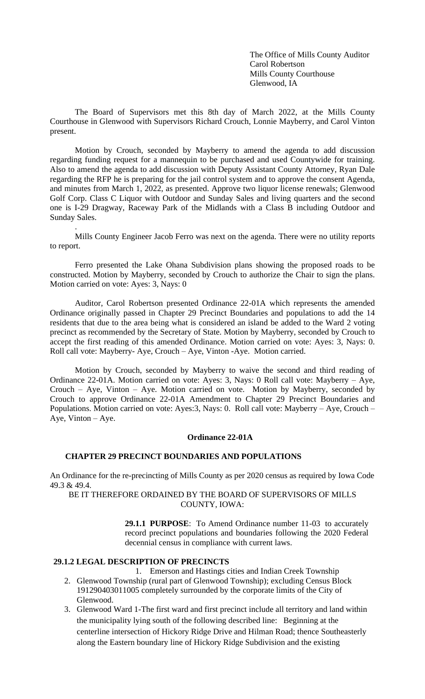The Office of Mills County Auditor Carol Robertson Mills County Courthouse Glenwood, IA

The Board of Supervisors met this 8th day of March 2022, at the Mills County Courthouse in Glenwood with Supervisors Richard Crouch, Lonnie Mayberry, and Carol Vinton present.

Motion by Crouch, seconded by Mayberry to amend the agenda to add discussion regarding funding request for a mannequin to be purchased and used Countywide for training. Also to amend the agenda to add discussion with Deputy Assistant County Attorney, Ryan Dale regarding the RFP he is preparing for the jail control system and to approve the consent Agenda, and minutes from March 1, 2022, as presented. Approve two liquor license renewals; Glenwood Golf Corp. Class C Liquor with Outdoor and Sunday Sales and living quarters and the second one is I-29 Dragway, Raceway Park of the Midlands with a Class B including Outdoor and Sunday Sales.

Mills County Engineer Jacob Ferro was next on the agenda. There were no utility reports to report.

Ferro presented the Lake Ohana Subdivision plans showing the proposed roads to be constructed. Motion by Mayberry, seconded by Crouch to authorize the Chair to sign the plans. Motion carried on vote: Ayes: 3, Nays: 0

Auditor, Carol Robertson presented Ordinance 22-01A which represents the amended Ordinance originally passed in Chapter 29 Precinct Boundaries and populations to add the 14 residents that due to the area being what is considered an island be added to the Ward 2 voting precinct as recommended by the Secretary of State. Motion by Mayberry, seconded by Crouch to accept the first reading of this amended Ordinance. Motion carried on vote: Ayes: 3, Nays: 0. Roll call vote: Mayberry- Aye, Crouch – Aye, Vinton -Aye. Motion carried.

Motion by Crouch, seconded by Mayberry to waive the second and third reading of Ordinance 22-01A. Motion carried on vote: Ayes: 3, Nays: 0 Roll call vote: Mayberry – Aye, Crouch – Aye, Vinton – Aye. Motion carried on vote. Motion by Mayberry, seconded by Crouch to approve Ordinance 22-01A Amendment to Chapter 29 Precinct Boundaries and Populations. Motion carried on vote: Ayes:3, Nays: 0. Roll call vote: Mayberry – Aye, Crouch – Aye, Vinton – Aye.

# **Ordinance 22-01A**

#### **CHAPTER 29 PRECINCT BOUNDARIES AND POPULATIONS**

An Ordinance for the re-precincting of Mills County as per 2020 census as required by Iowa Code 49.3 & 49.4.

BE IT THEREFORE ORDAINED BY THE BOARD OF SUPERVISORS OF MILLS COUNTY, IOWA:

> **29.1.1 PURPOSE**: To Amend Ordinance number 11-03 to accurately record precinct populations and boundaries following the 2020 Federal decennial census in compliance with current laws.

#### **29.1.2 LEGAL DESCRIPTION OF PRECINCTS**

.

- 1. Emerson and Hastings cities and Indian Creek Township 2. Glenwood Township (rural part of Glenwood Township); excluding Census Block 191290403011005 completely surrounded by the corporate limits of the City of Glenwood.
- 3. Glenwood Ward 1-The first ward and first precinct include all territory and land within the municipality lying south of the following described line: Beginning at the centerline intersection of Hickory Ridge Drive and Hilman Road; thence Southeasterly along the Eastern boundary line of Hickory Ridge Subdivision and the existing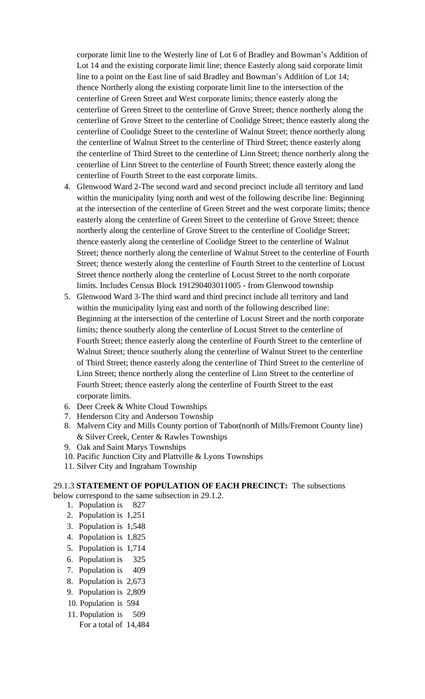corporate limit line to the Westerly line of Lot 6 of Bradley and Bowman's Addition of Lot 14 and the existing corporate limit line; thence Easterly along said corporate limit line to a point on the East line of said Bradley and Bowman's Addition of Lot 14; thence Northerly along the existing corporate limit line to the intersection of the centerline of Green Street and West corporate limits; thence easterly along the centerline of Green Street to the centerline of Grove Street; thence northerly along the centerline of Grove Street to the centerline of Coolidge Street; thence easterly along the centerline of Coolidge Street to the centerline of Walnut Street; thence northerly along the centerline of Walnut Street to the centerline of Third Street; thence easterly along the centerline of Third Street to the centerline of Linn Street; thence northerly along the centerline of Linn Street to the centerline of Fourth Street; thence easterly along the centerline of Fourth Street to the east corporate limits.

- 4. Glenwood Ward 2-The second ward and second precinct include all territory and land within the municipality lying north and west of the following describe line: Beginning at the intersection of the centerline of Green Street and the west corporate limits; thence easterly along the centerline of Green Street to the centerline of Grove Street; thence northerly along the centerline of Grove Street to the centerline of Coolidge Street; thence easterly along the centerline of Coolidge Street to the centerline of Walnut Street; thence northerly along the centerline of Walnut Street to the centerline of Fourth Street; thence westerly along the centerline of Fourth Street to the centerline of Locust Street thence northerly along the centerline of Locust Street to the north corporate limits. Includes Census Block 191290403011005 - from Glenwood township
- 5. Glenwood Ward 3-The third ward and third precinct include all territory and land within the municipality lying east and north of the following described line: Beginning at the intersection of the centerline of Locust Street and the north corporate limits; thence southerly along the centerline of Locust Street to the centerline of Fourth Street; thence easterly along the centerline of Fourth Street to the centerline of Walnut Street; thence southerly along the centerline of Walnut Street to the centerline of Third Street; thence easterly along the centerline of Third Street to the centerline of Linn Street; thence northerly along the centerline of Linn Street to the centerline of Fourth Street; thence easterly along the centerline of Fourth Street to the east corporate limits.
- 6. Deer Creek & White Cloud Townships
- 7. Henderson City and Anderson Township
- 8. Malvern City and Mills County portion of Tabor(north of Mills/Fremont County line) & Silver Creek, Center & Rawles Townships
- 9. Oak and Saint Marys Townships
- 10. Pacific Junction City and Plattville & Lyons Townships
- 11. Silver City and Ingraham Township

# 29.1.3 **STATEMENT OF POPULATION OF EACH PRECINCT:** The subsections below correspond to the same subsection in 29.1.2.

- 1. Population is 827
- 2. Population is 1,251
- 3. Population is 1,548
- 4. Population is 1,825
- 5. Population is 1,714
- 6. Population is 325
- 
- 7. Population is 409
- 8. Population is 2,673
- 9. Population is 2,809
- 10. Population is 594
- 11. Population is 509
	- For a total of 14,484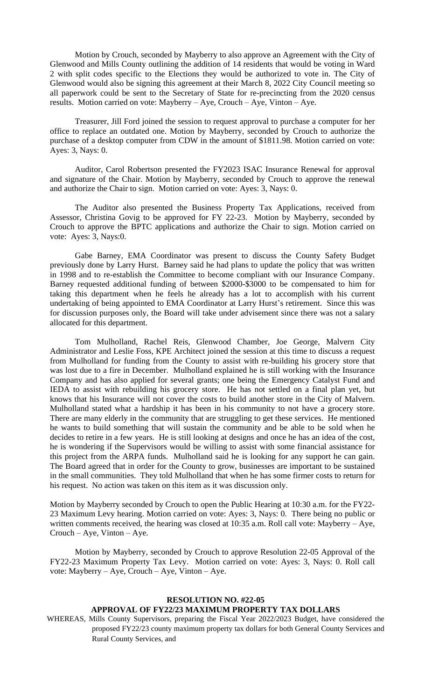Motion by Crouch, seconded by Mayberry to also approve an Agreement with the City of Glenwood and Mills County outlining the addition of 14 residents that would be voting in Ward 2 with split codes specific to the Elections they would be authorized to vote in. The City of Glenwood would also be signing this agreement at their March 8, 2022 City Council meeting so all paperwork could be sent to the Secretary of State for re-precincting from the 2020 census results. Motion carried on vote: Mayberry – Aye, Crouch – Aye, Vinton – Aye.

Treasurer, Jill Ford joined the session to request approval to purchase a computer for her office to replace an outdated one. Motion by Mayberry, seconded by Crouch to authorize the purchase of a desktop computer from CDW in the amount of \$1811.98. Motion carried on vote: Ayes: 3, Nays: 0.

Auditor, Carol Robertson presented the FY2023 ISAC Insurance Renewal for approval and signature of the Chair. Motion by Mayberry, seconded by Crouch to approve the renewal and authorize the Chair to sign. Motion carried on vote: Ayes: 3, Nays: 0.

The Auditor also presented the Business Property Tax Applications, received from Assessor, Christina Govig to be approved for FY 22-23. Motion by Mayberry, seconded by Crouch to approve the BPTC applications and authorize the Chair to sign. Motion carried on vote: Ayes: 3, Nays:0.

Gabe Barney, EMA Coordinator was present to discuss the County Safety Budget previously done by Larry Hurst. Barney said he had plans to update the policy that was written in 1998 and to re-establish the Committee to become compliant with our Insurance Company. Barney requested additional funding of between \$2000-\$3000 to be compensated to him for taking this department when he feels he already has a lot to accomplish with his current undertaking of being appointed to EMA Coordinator at Larry Hurst's retirement. Since this was for discussion purposes only, the Board will take under advisement since there was not a salary allocated for this department.

Tom Mulholland, Rachel Reis, Glenwood Chamber, Joe George, Malvern City Administrator and Leslie Foss, KPE Architect joined the session at this time to discuss a request from Mulholland for funding from the County to assist with re-building his grocery store that was lost due to a fire in December. Mulholland explained he is still working with the Insurance Company and has also applied for several grants; one being the Emergency Catalyst Fund and IEDA to assist with rebuilding his grocery store. He has not settled on a final plan yet, but knows that his Insurance will not cover the costs to build another store in the City of Malvern. Mulholland stated what a hardship it has been in his community to not have a grocery store. There are many elderly in the community that are struggling to get these services. He mentioned he wants to build something that will sustain the community and be able to be sold when he decides to retire in a few years. He is still looking at designs and once he has an idea of the cost, he is wondering if the Supervisors would be willing to assist with some financial assistance for this project from the ARPA funds. Mulholland said he is looking for any support he can gain. The Board agreed that in order for the County to grow, businesses are important to be sustained in the small communities. They told Mulholland that when he has some firmer costs to return for his request. No action was taken on this item as it was discussion only.

Motion by Mayberry seconded by Crouch to open the Public Hearing at 10:30 a.m. for the FY22- 23 Maximum Levy hearing. Motion carried on vote: Ayes: 3, Nays: 0. There being no public or written comments received, the hearing was closed at 10:35 a.m. Roll call vote: Mayberry – Aye, Crouch – Aye, Vinton – Aye.

Motion by Mayberry, seconded by Crouch to approve Resolution 22-05 Approval of the FY22-23 Maximum Property Tax Levy. Motion carried on vote: Ayes: 3, Nays: 0. Roll call vote: Mayberry – Aye, Crouch – Aye, Vinton – Aye.

# **RESOLUTION NO. #22-05 APPROVAL OF FY22/23 MAXIMUM PROPERTY TAX DOLLARS**

WHEREAS, Mills County Supervisors, preparing the Fiscal Year 2022/2023 Budget, have considered the proposed FY22/23 county maximum property tax dollars for both General County Services and Rural County Services, and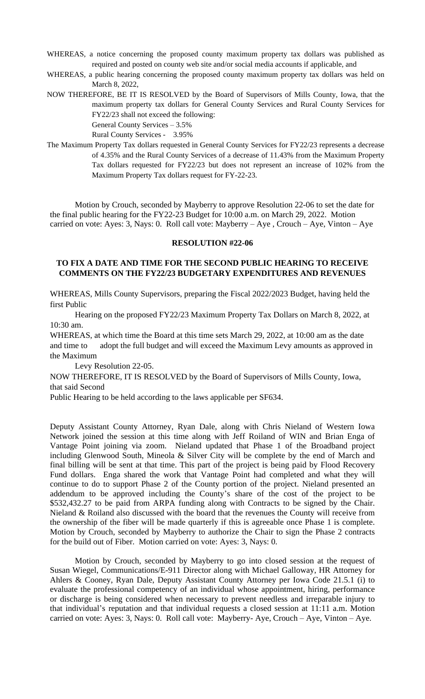- WHEREAS, a notice concerning the proposed county maximum property tax dollars was published as required and posted on county web site and/or social media accounts if applicable, and
- WHEREAS, a public hearing concerning the proposed county maximum property tax dollars was held on March 8, 2022,
- NOW THEREFORE, BE IT IS RESOLVED by the Board of Supervisors of Mills County, Iowa, that the maximum property tax dollars for General County Services and Rural County Services for FY22/23 shall not exceed the following:

General County Services – 3.5% Rural County Services - 3.95%

The Maximum Property Tax dollars requested in General County Services for FY22/23 represents a decrease of 4.35% and the Rural County Services of a decrease of 11.43% from the Maximum Property Tax dollars requested for FY22/23 but does not represent an increase of 102% from the Maximum Property Tax dollars request for FY-22-23.

Motion by Crouch, seconded by Mayberry to approve Resolution 22-06 to set the date for the final public hearing for the FY22-23 Budget for 10:00 a.m. on March 29, 2022. Motion carried on vote: Ayes: 3, Nays: 0. Roll call vote: Mayberry – Aye , Crouch – Aye, Vinton – Aye

#### **RESOLUTION #22-06**

### **TO FIX A DATE AND TIME FOR THE SECOND PUBLIC HEARING TO RECEIVE COMMENTS ON THE FY22/23 BUDGETARY EXPENDITURES AND REVENUES**

WHEREAS, Mills County Supervisors, preparing the Fiscal 2022/2023 Budget, having held the first Public

Hearing on the proposed FY22/23 Maximum Property Tax Dollars on March 8, 2022, at 10:30 am.

WHEREAS, at which time the Board at this time sets March 29, 2022, at 10:00 am as the date and time to adopt the full budget and will exceed the Maximum Levy amounts as approved in the Maximum

Levy Resolution 22-05.

NOW THEREFORE, IT IS RESOLVED by the Board of Supervisors of Mills County, Iowa, that said Second

Public Hearing to be held according to the laws applicable per SF634.

Deputy Assistant County Attorney, Ryan Dale, along with Chris Nieland of Western Iowa Network joined the session at this time along with Jeff Roiland of WIN and Brian Enga of Vantage Point joining via zoom. Nieland updated that Phase 1 of the Broadband project including Glenwood South, Mineola & Silver City will be complete by the end of March and final billing will be sent at that time. This part of the project is being paid by Flood Recovery Fund dollars. Enga shared the work that Vantage Point had completed and what they will continue to do to support Phase 2 of the County portion of the project. Nieland presented an addendum to be approved including the County's share of the cost of the project to be \$532,432.27 to be paid from ARPA funding along with Contracts to be signed by the Chair. Nieland & Roiland also discussed with the board that the revenues the County will receive from the ownership of the fiber will be made quarterly if this is agreeable once Phase 1 is complete. Motion by Crouch, seconded by Mayberry to authorize the Chair to sign the Phase 2 contracts for the build out of Fiber. Motion carried on vote: Ayes: 3, Nays: 0.

Motion by Crouch, seconded by Mayberry to go into closed session at the request of Susan Wiegel, Communications/E-911 Director along with Michael Galloway, HR Attorney for Ahlers & Cooney, Ryan Dale, Deputy Assistant County Attorney per Iowa Code 21.5.1 (i) to evaluate the professional competency of an individual whose appointment, hiring, performance or discharge is being considered when necessary to prevent needless and irreparable injury to that individual's reputation and that individual requests a closed session at 11:11 a.m. Motion carried on vote: Ayes: 3, Nays: 0. Roll call vote: Mayberry- Aye, Crouch – Aye, Vinton – Aye.